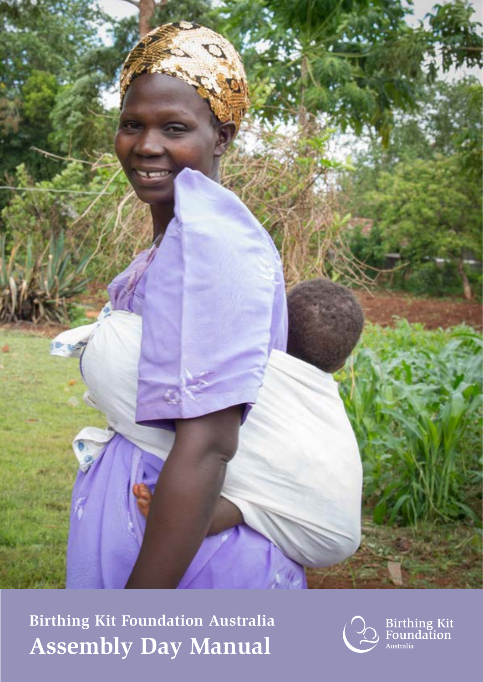

**Birthing Kit Foundation Australia Assembly Day Manual**



**Birthing Kit**<br>Foundation .<br>Australia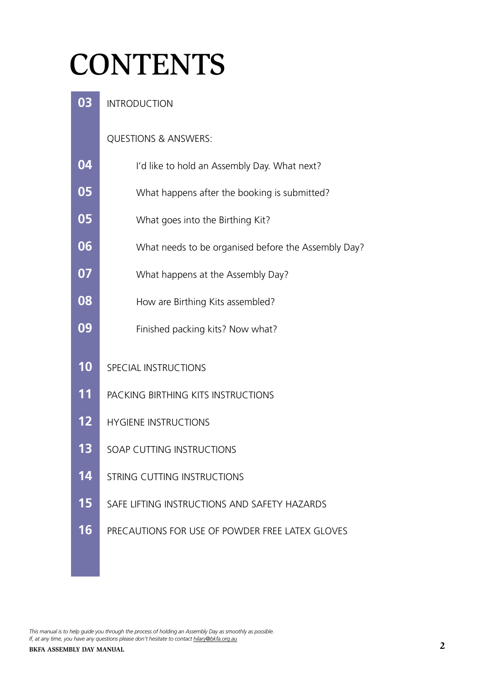## **CONTENTS**

 INTRODUCTION QUESTIONS & ANSWERS: I'd like to hold an Assembly Day. What next? What happens after the booking is submitted? What goes into the Birthing Kit? What needs to be organised before the Assembly Day? What happens at the Assembly Day? How are Birthing Kits assembled? Finished packing kits? Now what? SPECIAL INSTRUCTIONS PACKING BIRTHING KITS INSTRUCTIONS HYGIENE INSTRUCTIONS SOAP CUTTING INSTRUCTIONS **14 STRING CUTTING INSTRUCTIONS**  SAFE LIFTING INSTRUCTIONS AND SAFETY HAZARDS PRECAUTIONS FOR USE OF POWDER FREE LATEX GLOVES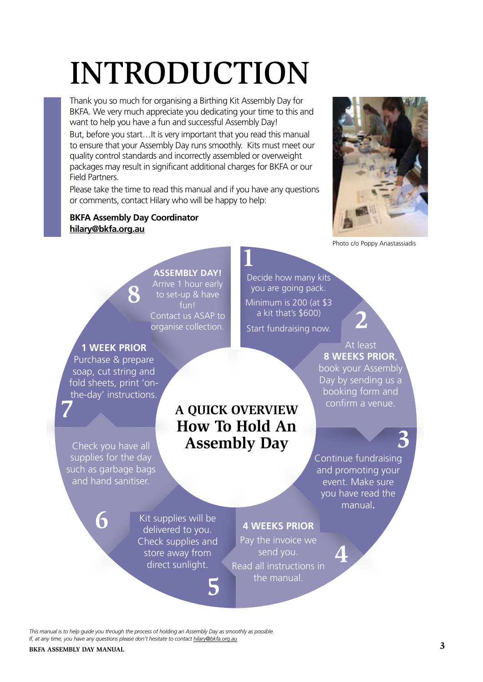# INTRODUCTION

Thank you so much for organising a Birthing Kit Assembly Day for BKFA. We very much appreciate you dedicating your time to this and want to help you have a fun and successful Assembly Day!

But, before you start…It is very important that you read this manual to ensure that your Assembly Day runs smoothly. Kits must meet our quality control standards and incorrectly assembled or overweight packages may result in significant additional charges for BKFA or our Field Partners.

Please take the time to read this manual and if you have any questions or comments, contact Hilary who will be happy to help:

#### **BKFA Assembly Day Coordinator hilary@bkfa.org.au**

**8**



Photo c/o Poppy Anastassiadis

#### **ASSEMBLY DAY!**

Arrive 1 hour early to set-up & have fun! Contact us ASAP to organise collection. **2**

Decide how many kits you are going pack. Minimum is 200 (at \$3 a kit that's \$600)

Start fundraising now.

#### At least **8 WEEKS PRIOR**, book your Assembly Day by sending us a booking form and confirm a venue.

## **3**

Continue fundraising and promoting your event. Make sure you have read the manual**.**

**4**

**delivered to you.**<br>Check supplies and Kit supplies will be delivered to you. **6**

Check you have all supplies for the day such as garbage bags and hand sanitiser.

**7**

**1 WEEK PRIOR** Purchase & prepare soap, cut string and fold sheets, print 'onthe-day' instructions.

> store away from direct sunlight.

> > **5**

#### **4 WEEKS PRIOR**

**A QUICK OVERVIEW How To Hold An** 

**1**

**Assembly Day**

Pay the invoice we send you. Read all instructions in the manual.

*This manual is to help guide you through the process of holding an Assembly Day as smoothly as possible. If, at any time, you have any questions please don't hesitate to contact hilary@bkfa.org.au*

#### **BKFA ASSEMBLY DAY MANUAL**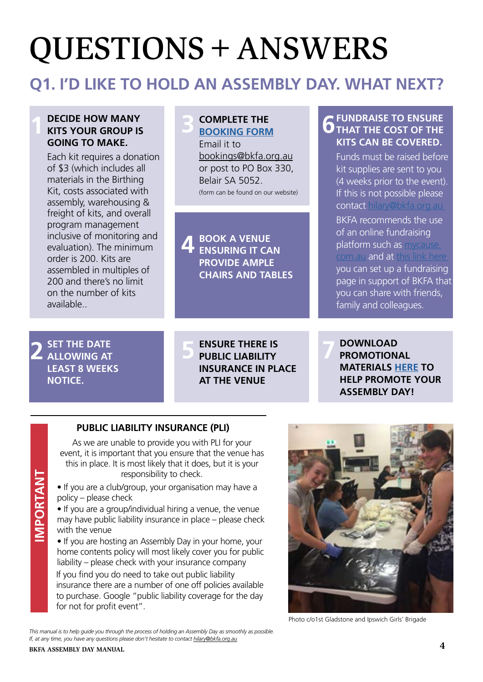## QUESTIONS+ANSWERS

### **Q1. I'D LIKE TO HOLD AN ASSEMBLY DAY. WHAT NEXT?**

#### **DECIDE HOW MANY KITS YOUR GROUP IS GOING TO MAKE. 1**

Each kit requires a donation of \$3 (which includes all materials in the Birthing Kit, costs associated with assembly, warehousing & freight of kits, and overall program management inclusive of monitoring and evaluation). The minimum order is 200. Kits are assembled in multiples of 200 and there's no limit on the number of kits available..

#### **COMPLETE THE [BOOKING FORM](https://www.bkfa.org.au/wp-content/uploads/2017/09/BKFA-Assembly-Day-Booking-form.pdf) 3**

Email it to bookings@bkfa.org.au or post to PO Box 330, Belair SA 5052. (form can be found on our website)

**BOOK A VENUE ENSURING IT CAN PROVIDE AMPLE CHAIRS AND TABLES 4**

#### **FUNDRAISE TO ENSURE 6** THAT THE COST OF THE **KITS CAN BE COVERED.**

Funds must be raised before kit supplies are sent to you (4 weeks prior to the event). If this is not possible please contact [hilary@bkfa.org.au](mailto:hilary@bkfa.org.au ) 

BKFA recommends the use of an online fundraising platform such as [mycause.](http://mycause.com.au) [com.au](http://mycause.com.au) and at [this link here](https://www.mycause.com.au/charity/542/BirthingKitFoundation)  you can set up a fundraising page in support of BKFA that you can share with friends, family and colleagues.

**SET THE DATE ALLOWING AT LEAST 8 WEEKS NOTICE. 2**

**IMPORTANT**

**MPORTANT** 

**ENSURE THERE IS PUBLIC LIABILITY INSURANCE IN PLACE AT THE VENUE 5**

**DOWNLOAD PROMOTIONAL MATERIALS [HERE](https://www.bkfa.org.au/promotional-resources/) TO HELP PROMOTE YOUR ASSEMBLY DAY! 7**

### **PUBLIC LIABILITY INSURANCE (PLI)**

As we are unable to provide you with PLI for your event, it is important that you ensure that the venue has this in place. It is most likely that it does, but it is your responsibility to check.

• If you are a club/group, your organisation may have a policy – please check

• If you are a group/individual hiring a venue, the venue may have public liability insurance in place – please check with the venue

• If you are hosting an Assembly Day in your home, your home contents policy will most likely cover you for public liability – please check with your insurance company

If you find you do need to take out public liability insurance there are a number of one off policies available to purchase. Google "public liability coverage for the day for not for profit event".



Photo c/o1st Gladstone and Ipswich Girls' Brigade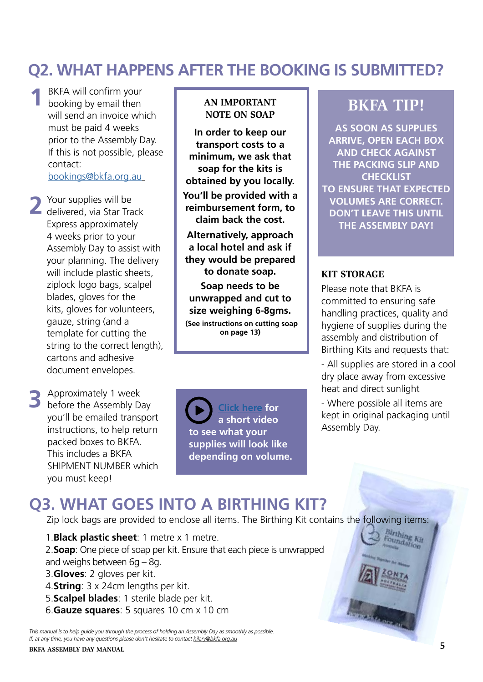### **Q2. WHAT HAPPENS AFTER THE BOOKING IS SUBMITTED?**

- BKFA will confirm your booking by email then will send an invoice which must be paid 4 weeks prior to the Assembly Day. If this is not possible, please contact: [bookings@bkfa.org.au](mailto:bookings@bkfa.org.au) **1**
- Your supplies will be **2** Your supplies will be delivered, via Star Track Express approximately 4 weeks prior to your Assembly Day to assist with your planning. The delivery will include plastic sheets, ziplock logo bags, scalpel blades, gloves for the kits, gloves for volunteers, gauze, string (and a template for cutting the string to the correct length), cartons and adhesive document envelopes.
- **3** Approximately 1 week<br>**3** before the Assembly Da before the Assembly Day you'll be emailed transport instructions, to help return packed boxes to BKFA. This includes a BKFA SHIPMENT NUMBER which you must keep!

#### **AN IMPORTANT NOTE ON SOAP**

**In order to keep our transport costs to a minimum, we ask that soap for the kits is obtained by you locally. You'll be provided with a reimbursement form, to claim back the cost.**

**Alternatively, approach a local hotel and ask if they would be prepared to donate soap.**

**Soap needs to be unwrapped and cut to size weighing 6-8gms. (See instructions on cutting soap on page 13)**

**[Click here](https://animoto.com/play/zgZ2kOQz18r41L4S0jIxBw) for a short video to see what your supplies will look like depending on volume.**

### **BKFA TIP!**

**AS SOON AS SUPPLIES ARRIVE, OPEN EACH BOX AND CHECK AGAINST THE PACKING SLIP AND CHECKLIST TO ENSURE THAT EXPECTED VOLUMES ARE CORRECT. DON'T LEAVE THIS UNTIL THE ASSEMBLY DAY!**

#### **KIT STORAGE**

Please note that BKFA is committed to ensuring safe handling practices, quality and hygiene of supplies during the assembly and distribution of Birthing Kits and requests that:

- All supplies are stored in a cool dry place away from excessive heat and direct sunlight

- Where possible all items are kept in original packaging until Assembly Day.

> Birthing<br>Foundation oundation

### **Q3. WHAT GOES INTO A BIRTHING KIT?**

Zip lock bags are provided to enclose all items. The Birthing Kit contains the following items:

1.**Black plastic sheet**: 1 metre x 1 metre. 2.**Soap**: One piece of soap per kit. Ensure that each piece is unwrapped and weighs between  $6g - 8g$ . 3.**Gloves**: 2 gloves per kit. 4.**String**: 3 x 24cm lengths per kit. 5.**Scalpel blades**: 1 sterile blade per kit. 6.**Gauze squares**: 5 squares 10 cm x 10 cm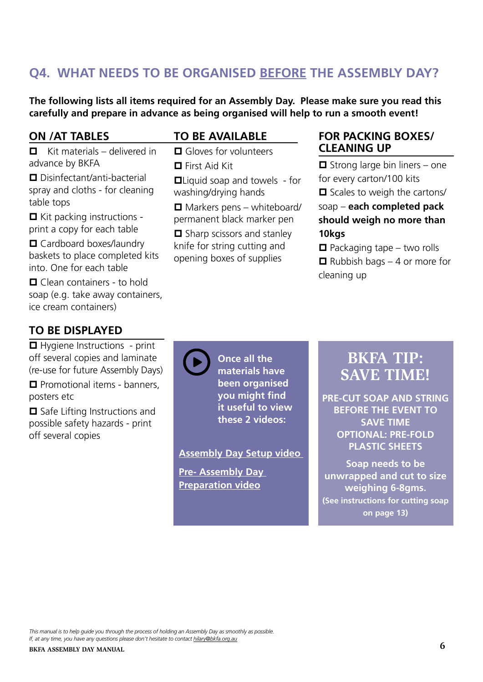### **Q4. WHAT NEEDS TO BE ORGANISED BEFORE THE ASSEMBLY DAY?**

**The following lists all items required for an Assembly Day. Please make sure you read this carefully and prepare in advance as being organised will help to run a smooth event!**

 $\Box$  Liquid soap and towels - for

 $\Box$  Markers pens – whiteboard/ permanent black marker pen  $\Box$  Sharp scissors and stanley knife for string cutting and opening boxes of supplies

#### **ON /AT TABLES**

#### **TO BE AVAILABLE**

 $\Box$  First Aid Kit

 $\Box$  Gloves for volunteers

washing/drying hands

 $\blacksquare$  Kit materials – delivered in advance by BKFA  $\Box$  Disinfectant/anti-bacterial

spray and cloths - for cleaning table tops

 $\Box$  Kit packing instructions print a copy for each table

 $\Box$  Cardboard boxes/laundry baskets to place completed kits into. One for each table

 $\Box$  Clean containers - to hold soap (e.g. take away containers, ice cream containers)

#### **TO BE DISPLAYED**

 $\Box$  Hygiene Instructions - print off several copies and laminate (re-use for future Assembly Days)

 $\Box$  Promotional items - banners, posters etc

 $\Box$  Safe Lifting Instructions and possible safety hazards - print off several copies

**Once all the materials have been organised you might find it useful to view these 2 videos:**

#### **[Assembly Day Setup video](https://animoto.com/play/3mp742UidUEQGOQkJXVQ1Q)**

**[Pre- Assembly Day](https://animoto.com/play/LRDxgKlDt3fhDy7mvRlkag)  [Preparation video](https://animoto.com/play/LRDxgKlDt3fhDy7mvRlkag)**

#### **FOR PACKING BOXES/ CLEANING UP**

 $\Box$  Strong large bin liners – one for every carton/100 kits

 $\Box$  Scales to weigh the cartons/

soap – **each completed pack should weigh no more than 10kgs** 

 $\Box$  Packaging tape – two rolls

 $\Box$  Rubbish bags – 4 or more for cleaning up

### **BKFA TIP: SAVE TIME!**

**PRE-CUT SOAP AND STRING BEFORE THE EVENT TO SAVE TIME OPTIONAL: PRE-FOLD PLASTIC SHEETS**

**Soap needs to be unwrapped and cut to size weighing 6-8gms. (See instructions for cutting soap on page 13)**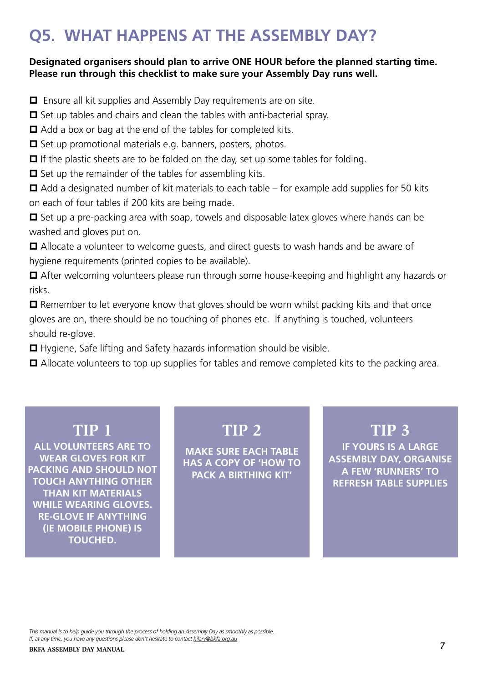### **Q5. WHAT HAPPENS AT THE ASSEMBLY DAY?**

#### **Designated organisers should plan to arrive ONE HOUR before the planned starting time. Please run through this checklist to make sure your Assembly Day runs well.**

 $\Box$  Ensure all kit supplies and Assembly Day requirements are on site.

 $\Box$  Set up tables and chairs and clean the tables with anti-bacterial spray.

 $\Box$  Add a box or bag at the end of the tables for completed kits.

 $\Box$  Set up promotional materials e.g. banners, posters, photos.

 $\Box$  If the plastic sheets are to be folded on the day, set up some tables for folding.

 $\Box$  Set up the remainder of the tables for assembling kits.

 $\Box$  Add a designated number of kit materials to each table – for example add supplies for 50 kits on each of four tables if 200 kits are being made.

 $\Box$  Set up a pre-packing area with soap, towels and disposable latex gloves where hands can be washed and gloves put on.

 $\Box$  Allocate a volunteer to welcome guests, and direct guests to wash hands and be aware of hygiene requirements (printed copies to be available).

■ After welcoming volunteers please run through some house-keeping and highlight any hazards or risks.

 $\Box$  Remember to let everyone know that gloves should be worn whilst packing kits and that once gloves are on, there should be no touching of phones etc. If anything is touched, volunteers should re-glove.

 $\Box$  Hygiene, Safe lifting and Safety hazards information should be visible.

 $\Box$  Allocate volunteers to top up supplies for tables and remove completed kits to the packing area.

### **TIP 1**

**ALL VOLUNTEERS ARE TO WEAR GLOVES FOR KIT PACKING AND SHOULD NOT TOUCH ANYTHING OTHER THAN KIT MATERIALS WHILE WEARING GLOVES. RE-GLOVE IF ANYTHING (IE MOBILE PHONE) IS TOUCHED.**

### **TIP 2**

**MAKE SURE EACH TABLE HAS A COPY OF 'HOW TO PACK A BIRTHING KIT'**

### **TIP 3**

**IF YOURS IS A LARGE ASSEMBLY DAY, ORGANISE A FEW 'RUNNERS' TO REFRESH TABLE SUPPLIES**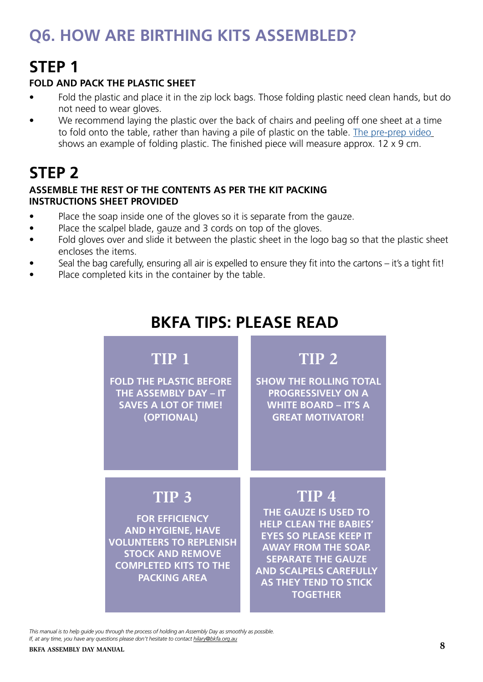### **Q6. HOW ARE BIRTHING KITS ASSEMBLED?**

### **STEP 1**

#### **FOLD AND PACK THE PLASTIC SHEET**

- Fold the plastic and place it in the zip lock bags. Those folding plastic need clean hands, but do not need to wear gloves.
- We recommend laying the plastic over the back of chairs and peeling off one sheet at a time to fold onto the table, rather than having a pile of plastic on the table. [The pre-prep video](https://animoto.com/play/LRDxgKlDt3fhDy7mvRlkag) shows an example of folding plastic. The finished piece will measure approx. 12 x 9 cm.

### **STEP 2**

#### **ASSEMBLE THE REST OF THE CONTENTS AS PER THE KIT PACKING INSTRUCTIONS SHEET PROVIDED**

- Place the soap inside one of the gloves so it is separate from the gauze.
- Place the scalpel blade, gauze and 3 cords on top of the gloves.
- Fold gloves over and slide it between the plastic sheet in the logo bag so that the plastic sheet encloses the items.
- Seal the bag carefully, ensuring all air is expelled to ensure they fit into the cartons it's a tight fit!
- Place completed kits in the container by the table.

### **BKFA TIPS: PLEASE READ**

### **TIP 1**

**FOLD THE PLASTIC BEFORE THE ASSEMBLY DAY – IT SAVES A LOT OF TIME! (OPTIONAL)**

### **TIP 2**

**SHOW THE ROLLING TOTAL PROGRESSIVELY ON A WHITE BOARD – IT'S A GREAT MOTIVATOR!**

### **TIP 3**

**FOR EFFICIENCY AND HYGIENE, HAVE VOLUNTEERS TO REPLENISH STOCK AND REMOVE COMPLETED KITS TO THE PACKING AREA**

### **TIP 4**

**THE GAUZE IS USED TO HELP CLEAN THE BABIES' EYES SO PLEASE KEEP IT AWAY FROM THE SOAP. SEPARATE THE GAUZE AND SCALPELS CAREFULLY AS THEY TEND TO STICK TOGETHER**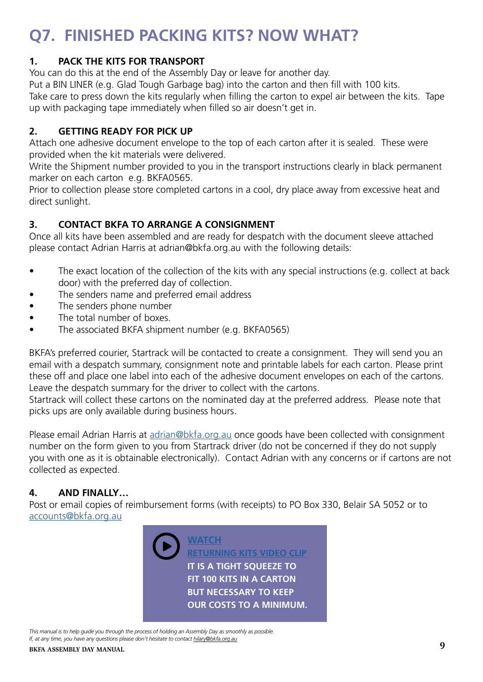### **Q7. FINISHED PACKING KITS? NOW WHAT?**

#### **1. PACK THE KITS FOR TRANSPORT**

You can do this at the end of the Assembly Day or leave for another day.

Put a BIN LINER (e.g. Glad Tough Garbage bag) into the carton and then fill with 100 kits.

Take care to press down the kits regularly when filling the carton to expel air between the kits. Tape up with packaging tape immediately when filled so air doesn't get in.

#### **2. GETTING READY FOR PICK UP**

Attach one adhesive document envelope to the top of each carton after it is sealed. These were provided when the kit materials were delivered.

Write the Shipment number provided to you in the transport instructions clearly in black permanent marker on each carton e.g. BKFA0565.

Prior to collection please store completed cartons in a cool, dry place away from excessive heat and direct sunlight.

### **3. CONTACT BKFA TO ARRANGE A CONSIGNMENT**

Once all kits have been assembled and are ready for despatch with the document sleeve attached please contact Adrian Harris at adrian@bkfa.org.au with the following details:

- The exact location of the collection of the kits with any special instructions (e.g. collect at back door) with the preferred day of collection.
- The senders name and preferred email address
- The senders phone number
- The total number of boxes.
- The associated BKFA shipment number (e.g. BKFA0565)

BKFA's preferred courier, Startrack will be contacted to create a consignment. They will send you an email with a despatch summary, consignment note and printable labels for each carton. Please print these off and place one label into each of the adhesive document envelopes on each of the cartons. Leave the despatch summary for the driver to collect with the cartons.

Startrack will collect these cartons on the nominated day at the preferred address. Please note that picks ups are only available during business hours.

Please email Adrian Harris at [adrian@bkfa.org.au](mailto:adrian%40bkfa.org.au?subject=) once goods have been collected with consignment number on the form given to you from Startrack driver (do not be concerned if they do not supply you with one as it is obtainable electronically). Contact Adrian with any concerns or if cartons are not collected as expected.

### **4. AND FINALLY…**

Post or email copies of reimbursement forms (with receipts) to PO Box 330, Belair SA 5052 or to [accounts@bkfa.org.au](mailto:accounts@bkfa.org.au)

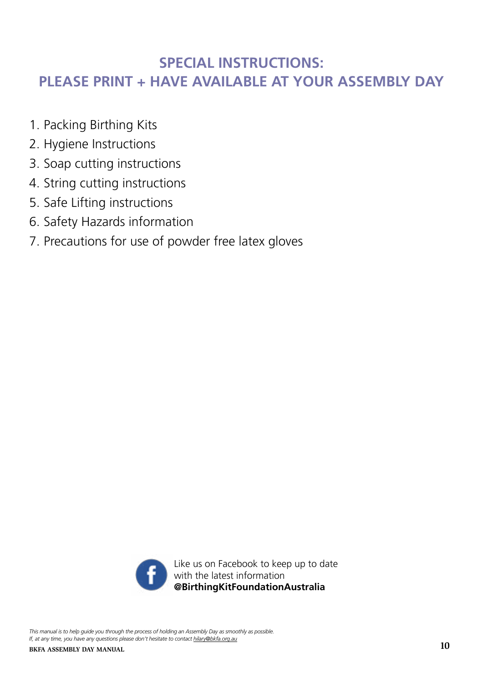### **SPECIAL INSTRUCTIONS: PLEASE PRINT + HAVE AVAILABLE AT YOUR ASSEMBLY DAY**

- 1. Packing Birthing Kits
- 2. Hygiene Instructions
- 3. Soap cutting instructions
- 4. String cutting instructions
- 5. Safe Lifting instructions
- 6. Safety Hazards information
- 7. Precautions for use of powder free latex gloves

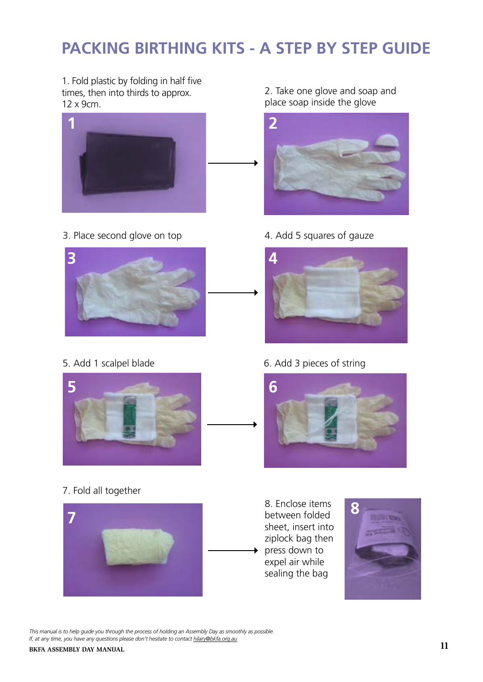### **Packing Birthing Kits - a step by step guide PACKING BIRTHING KITS - A STEP BY STEP GUIDE Packing Birthing Kits - a step by step guide**

1. Fold plastic by folding in half five times, then into thirds to approx. 12 x 9cm.



**5.** Place second glove on top **8.** Add 5 squares of gauze



**5.** Add 1 scalpel blade **6.** Add 3 strings **7.** Fold all together **8.** Enclose items between folded sheet



**10 |** Page AD Manual ( November 2016 V 1 ) 7. Fold all together **10 |** Page AD Manual ( November 2016 V 1 )



2. Take one glove and soap and place soap inside the glove



**Figure 3.** Add 5 squares of gauze items are second glove on top



### **5.** Add 1 scalpel blade **6.** Add 3 pieces of string



8. Enclose items between folded sheet, insert into ziplock bag then press down to expel air while sealing the bag

 $\ddotmark$ 

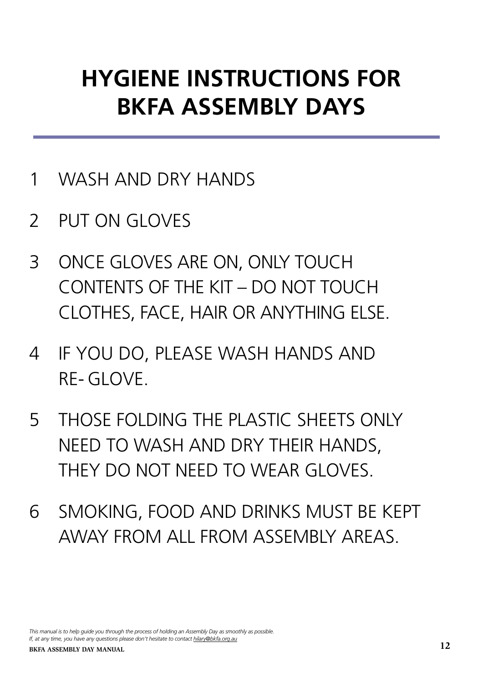## **HYGIENE INSTRUCTIONS FOR BKFA ASSEMBLY DAYS**

- 1 WASH AND DRY HANDS
- 2 PUT ON GLOVES
- 3 ONCE GLOVES ARE ON, ONLY TOUCH CONTENTS OF THE KIT – DO NOT TOUCH CLOTHES, FACE, HAIR OR ANYTHING ELSE.
- 4 IF YOU DO, PLEASE WASH HANDS AND RE- GLOVE.
- 5 THOSE FOLDING THE PLASTIC SHEETS ONLY NEED TO WASH AND DRY THEIR HANDS, THEY DO NOT NEED TO WEAR GLOVES.
- 6 SMOKING, FOOD AND DRINKS MUST BE KEPT AWAY FROM ALL FROM ASSEMBLY AREAS.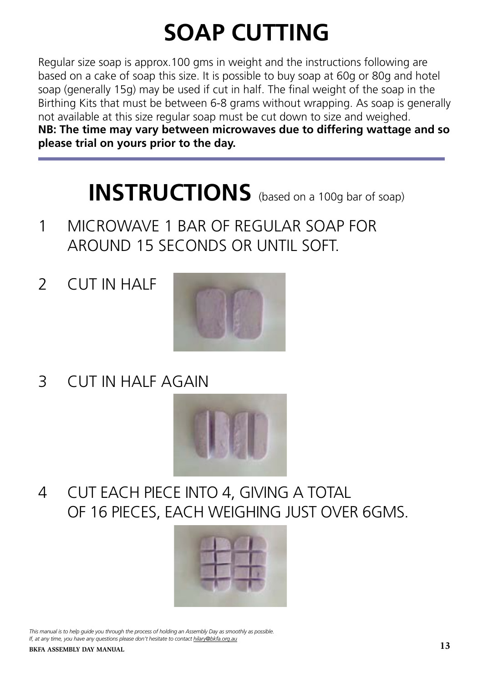## **SOAP CUTTING**

Regular size soap is approx.100 gms in weight and the instructions following are based on a cake of soap this size. It is possible to buy soap at 60g or 80g and hotel soap (generally 15g) may be used if cut in half. The final weight of the soap in the Birthing Kits that must be between 6-8 grams without wrapping. As soap is generally not available at this size regular soap must be cut down to size and weighed. **NB: The time may vary between microwaves due to differing wattage and so please trial on yours prior to the day.**

## **INSTRUCTIONS** (based on a 100g bar of soap)

- 1 MICROWAVE 1 BAR OF REGULAR SOAP FOR AROUND 15 SECONDS OR UNTIL SOFT.
- 2 CUT IN HALF

L



3 CUT IN HALF AGAIN



4 CUT EACH PIECE INTO 4, GIVING A TOTAL OF 16 PIECES, EACH WEIGHING JUST OVER 6GMS.

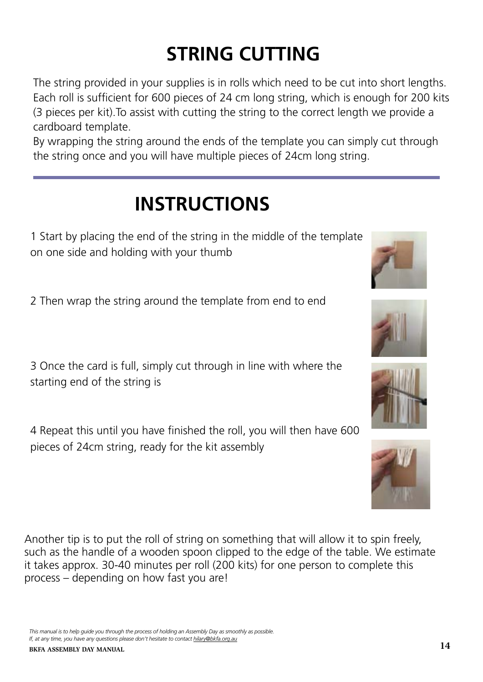*This manual is to help guide you through the process of holding an Assembly Day as smoothly as possible.* 

pieces of 24cm string, ready for the kit assembly

*If, at any time, you have any questions please don't hesitate to contact hilary@bkfa.org.au*

Another tip is to put the roll of string on something that will allow it to spin freely, such as the handle of a wooden spoon clipped to the edge of the table. We estimate it takes approx. 30-40 minutes per roll (200 kits) for one person to complete this process – depending on how fast you are!

3 Once the card is full, simply cut through in line with where the starting end of the string is

4 Repeat this until you have finished the roll, you will then have 600

2 Then wrap the string around the template from end to end

1 Start by placing the end of the string in the middle of the template on one side and holding with your thumb

**INSTRUCTIONS**

cardboard template. By wrapping the string around the ends of the template you can simply cut through the string once and you will have multiple pieces of 24cm long string.

(3 pieces per kit).To assist with cutting the string to the correct length we provide a

**STRING CUTTING**

The string provided in your supplies is in rolls which need to be cut into short lengths. Each roll is sufficient for 600 pieces of 24 cm long string, which is enough for 200 kits







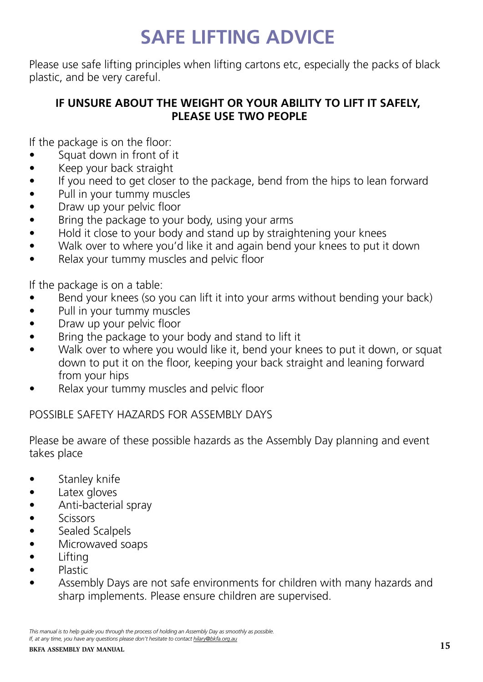### **SAFE LIFTING ADVICE**

Please use safe lifting principles when lifting cartons etc, especially the packs of black plastic, and be very careful.

### **IF UNSURE ABOUT THE WEIGHT OR YOUR ABILITY TO LIFT IT SAFELY, PLEASE USE TWO PEOPLE**

If the package is on the floor:

- Squat down in front of it
- Keep your back straight
- If you need to get closer to the package, bend from the hips to lean forward
- Pull in your tummy muscles
- Draw up your pelvic floor
- Bring the package to your body, using your arms
- Hold it close to your body and stand up by straightening your knees
- Walk over to where you'd like it and again bend your knees to put it down
- Relax your tummy muscles and pelvic floor

If the package is on a table:

- Bend your knees (so you can lift it into your arms without bending your back)
- Pull in your tummy muscles
- Draw up your pelvic floor
- Bring the package to your body and stand to lift it
- Walk over to where you would like it, bend your knees to put it down, or squat down to put it on the floor, keeping your back straight and leaning forward from your hips
- Relax your tummy muscles and pelvic floor

### POSSIBLE SAFETY HAZARDS FOR ASSEMBLY DAYS

Please be aware of these possible hazards as the Assembly Day planning and event takes place

- Stanley knife
- Latex gloves
- Anti-bacterial spray
- Scissors
- Sealed Scalpels
- Microwaved soaps
- Lifting
- Plastic
- Assembly Days are not safe environments for children with many hazards and sharp implements. Please ensure children are supervised.